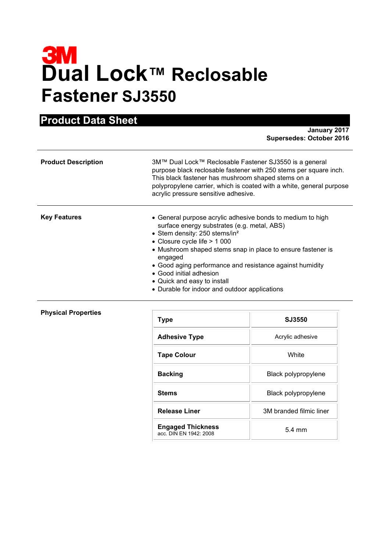# **3M**<br>Dual Lock™ Reclosable **Fastener SJ3550**

**Product Data Sheet**

|                            | January 2017<br><b>Supersedes: October 2016</b>                                                                                                                                                                                                                                                                                                                                                                                          |
|----------------------------|------------------------------------------------------------------------------------------------------------------------------------------------------------------------------------------------------------------------------------------------------------------------------------------------------------------------------------------------------------------------------------------------------------------------------------------|
| <b>Product Description</b> | 3M™ Dual Lock™ Reclosable Fastener SJ3550 is a general<br>purpose black reclosable fastener with 250 stems per square inch.<br>This black fastener has mushroom shaped stems on a<br>polypropylene carrier, which is coated with a white, general purpose<br>acrylic pressure sensitive adhesive.                                                                                                                                        |
| <b>Key Features</b>        | • General purpose acrylic adhesive bonds to medium to high<br>surface energy substrates (e.g. metal, ABS)<br>• Stem density: 250 stems/in <sup>2</sup><br>• Closure cycle life $> 1000$<br>• Mushroom shaped stems snap in place to ensure fastener is<br>engaged<br>• Good aging performance and resistance against humidity<br>• Good initial adhesion<br>• Quick and easy to install<br>• Durable for indoor and outdoor applications |

|  | <b>Physical Properties</b> |
|--|----------------------------|
|--|----------------------------|

| <b>Type</b>                                        | SJ3550                  |
|----------------------------------------------------|-------------------------|
| <b>Adhesive Type</b>                               | Acrylic adhesive        |
| <b>Tape Colour</b>                                 | White                   |
| <b>Backing</b>                                     | Black polypropylene     |
| <b>Stems</b>                                       | Black polypropylene     |
| <b>Release Liner</b>                               | 3M branded filmic liner |
| <b>Engaged Thickness</b><br>acc. DIN EN 1942: 2008 | $5.4 \text{ mm}$        |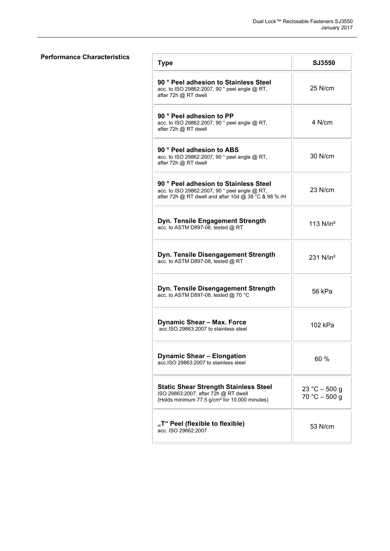# **Performance Characteristics**

| <b>Type</b>                                                                                                                                       | <b>SJ3550</b>                      |
|---------------------------------------------------------------------------------------------------------------------------------------------------|------------------------------------|
| 90 ° Peel adhesion to Stainless Steel<br>acc. to ISO 29862:2007, 90 ° peel angle @ RT,<br>after 72h @ RT dwell                                    | 25 N/cm                            |
| 90 ° Peel adhesion to PP<br>acc. to ISO 29862:2007, 90 ° peel angle @ RT,<br>after 72h @ RT dwell                                                 | $4$ N/cm                           |
| 90 ° Peel adhesion to ABS<br>acc. to ISO 29862:2007, 90 ° peel angle @ RT,<br>after 72h @ RT dwell                                                | $30$ N/cm                          |
| 90 ° Peel adhesion to Stainless Steel<br>acc. to ISO 29862:2007, 90 ° peel angle @ RT,<br>after 72h @ RT dwell and after 10d @ 38 °C & 98 % rH    | $23$ N/cm                          |
| Dyn. Tensile Engagement Strength<br>acc. to ASTM D897-08, tested @ RT                                                                             | 113 $N/in^2$                       |
| Dyn. Tensile Disengagement Strength<br>acc. to ASTM D897-08, tested @ RT                                                                          | $231$ N/in <sup>2</sup>            |
| Dyn. Tensile Disengagement Strength<br>acc. to ASTM D897-08, tested @ 70 °C                                                                       | 56 kPa                             |
| <b>Dynamic Shear - Max. Force</b><br>acc.ISO 29863:2007 to stainless steel                                                                        | 102 kPa                            |
| <b>Dynamic Shear - Elongation</b><br>acc.ISO 29863:2007 to stainless steel                                                                        | 60 %                               |
| <b>Static Shear Strength Stainless Steel</b><br>ISO 29863:2007, after 72h @ RT dwell<br>(Holds minimum 77.5 g/cm <sup>2</sup> for 10.000 minutes) | $23 °C - 500 g$<br>$70 °C - 500 g$ |
| "T" Peel (flexible to flexible)<br>acc. ISO 29862:2007                                                                                            | 53 N/cm                            |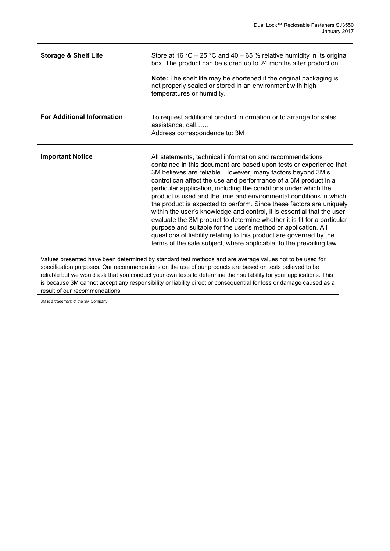| <b>Storage &amp; Shelf Life</b>                                                                                                                                                                                                                                                                                                                                                                                                                                    | Store at 16 °C – 25 °C and 40 – 65 % relative humidity in its original<br>box. The product can be stored up to 24 months after production.<br>Note: The shelf life may be shortened if the original packaging is<br>not properly sealed or stored in an environment with high<br>temperatures or humidity.                                                                                                                                                                                                                                                                                                                                                                                                                                                                                                                                               |
|--------------------------------------------------------------------------------------------------------------------------------------------------------------------------------------------------------------------------------------------------------------------------------------------------------------------------------------------------------------------------------------------------------------------------------------------------------------------|----------------------------------------------------------------------------------------------------------------------------------------------------------------------------------------------------------------------------------------------------------------------------------------------------------------------------------------------------------------------------------------------------------------------------------------------------------------------------------------------------------------------------------------------------------------------------------------------------------------------------------------------------------------------------------------------------------------------------------------------------------------------------------------------------------------------------------------------------------|
| <b>For Additional Information</b>                                                                                                                                                                                                                                                                                                                                                                                                                                  | To request additional product information or to arrange for sales<br>assistance, call<br>Address correspondence to: 3M                                                                                                                                                                                                                                                                                                                                                                                                                                                                                                                                                                                                                                                                                                                                   |
| <b>Important Notice</b>                                                                                                                                                                                                                                                                                                                                                                                                                                            | All statements, technical information and recommendations<br>contained in this document are based upon tests or experience that<br>3M believes are reliable. However, many factors beyond 3M's<br>control can affect the use and performance of a 3M product in a<br>particular application, including the conditions under which the<br>product is used and the time and environmental conditions in which<br>the product is expected to perform. Since these factors are uniquely<br>within the user's knowledge and control, it is essential that the user<br>evaluate the 3M product to determine whether it is fit for a particular<br>purpose and suitable for the user's method or application. All<br>questions of liability relating to this product are governed by the<br>terms of the sale subject, where applicable, to the prevailing law. |
| Values presented have been determined by standard test methods and are average values not to be used for<br>specification purposes. Our recommendations on the use of our products are based on tests believed to be<br>reliable but we would ask that you conduct your own tests to determine their suitability for your applications. This<br>is because 3M cannot accept any responsibility or liability direct or consequential for loss or damage caused as a |                                                                                                                                                                                                                                                                                                                                                                                                                                                                                                                                                                                                                                                                                                                                                                                                                                                          |

result of our recommendations 3M is a trademark of the 3M Company.